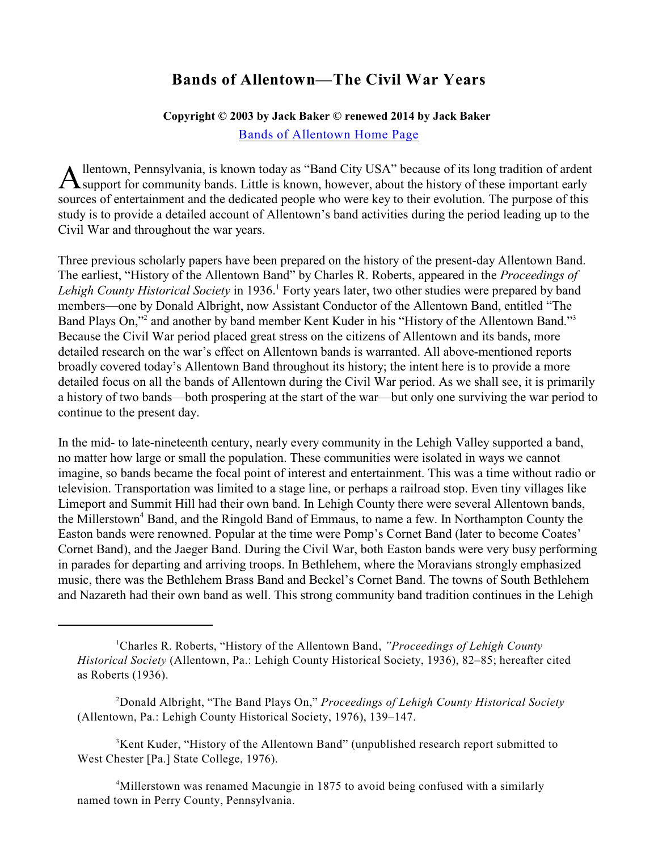## **Bands of Allentown—The Civil War Years**

## **Copyright © 2003 by Jack Baker © renewed 2014 by Jack Baker**

[Bands of Allentown Home Page](http://www.bandsofallentown.org)

A llentown, Pennsylvania, is known today as "Band City USA" because of its long tradition of arden<br>A support for community bands. Little is known, however, about the history of these important early llentown, Pennsylvania, is known today as "Band City USA" because of its long tradition of ardent sources of entertainment and the dedicated people who were key to their evolution. The purpose of this study is to provide a detailed account of Allentown's band activities during the period leading up to the Civil War and throughout the war years.

Three previous scholarly papers have been prepared on the history of the present-day Allentown Band. The earliest, "History of the Allentown Band" by Charles R. Roberts, appeared in the *Proceedings of Lehigh County Historical Society* in 1936.<sup>1</sup> Forty years later, two other studies were prepared by band members—one by Donald Albright, now Assistant Conductor of the Allentown Band, entitled "The Band Plays On,"<sup>2</sup> and another by band member Kent Kuder in his "History of the Allentown Band."<sup>3</sup> Because the Civil War period placed great stress on the citizens of Allentown and its bands, more detailed research on the war's effect on Allentown bands is warranted. All above-mentioned reports broadly covered today's Allentown Band throughout its history; the intent here is to provide a more detailed focus on all the bands of Allentown during the Civil War period. As we shall see, it is primarily a history of two bands—both prospering at the start of the war—but only one surviving the war period to continue to the present day.

In the mid- to late-nineteenth century, nearly every community in the Lehigh Valley supported a band, no matter how large or small the population. These communities were isolated in ways we cannot imagine, so bands became the focal point of interest and entertainment. This was a time without radio or television. Transportation was limited to a stage line, or perhaps a railroad stop. Even tiny villages like Limeport and Summit Hill had their own band. In Lehigh County there were several Allentown bands, the Millerstown<sup>4</sup> Band, and the Ringold Band of Emmaus, to name a few. In Northampton County the Easton bands were renowned. Popular at the time were Pomp's Cornet Band (later to become Coates' Cornet Band), and the Jaeger Band. During the Civil War, both Easton bands were very busy performing in parades for departing and arriving troops. In Bethlehem, where the Moravians strongly emphasized music, there was the Bethlehem Brass Band and Beckel's Cornet Band. The towns of South Bethlehem and Nazareth had their own band as well. This strong community band tradition continues in the Lehigh

Charles R. Roberts, "History of the Allentown Band, *"Proceedings of Lehigh County* <sup>1</sup> *Historical Society* (Allentown, Pa.: Lehigh County Historical Society, 1936), 82–85; hereafter cited as Roberts (1936).

Donald Albright, "The Band Plays On," *Proceedings of Lehigh County Historical Society* <sup>2</sup> (Allentown, Pa.: Lehigh County Historical Society, 1976), 139–147.

 ${}^{3}$ Kent Kuder, "History of the Allentown Band" (unpublished research report submitted to West Chester [Pa.] State College, 1976).

<sup>&</sup>lt;sup>4</sup>Millerstown was renamed Macungie in 1875 to avoid being confused with a similarly named town in Perry County, Pennsylvania.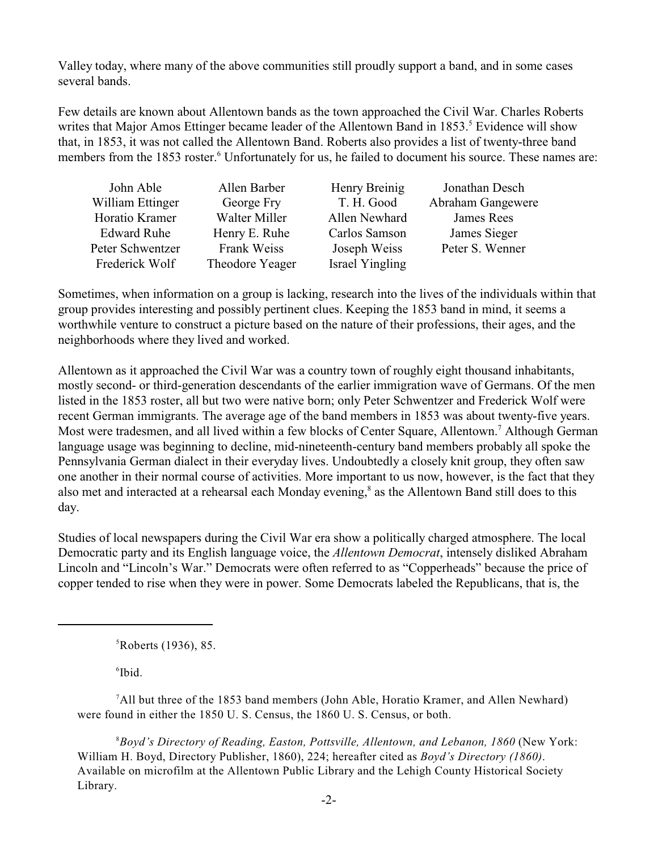Valley today, where many of the above communities still proudly support a band, and in some cases several bands.

Few details are known about Allentown bands as the town approached the Civil War. Charles Roberts writes that Major Amos Ettinger became leader of the Allentown Band in  $1853$ .<sup>5</sup> Evidence will show that, in 1853, it was not called the Allentown Band. Roberts also provides a list of twenty-three band members from the 1853 roster.<sup>6</sup> Unfortunately for us, he failed to document his source. These names are:

| John Able          | Allen Barber    | Henry Breinig   | Jonathan Desch    |
|--------------------|-----------------|-----------------|-------------------|
| William Ettinger   | George Fry      | T. H. Good      | Abraham Gangewere |
| Horatio Kramer     | Walter Miller   | Allen Newhard   | James Rees        |
| <b>Edward Ruhe</b> | Henry E. Ruhe   | Carlos Samson   | James Sieger      |
| Peter Schwentzer   | Frank Weiss     | Joseph Weiss    | Peter S. Wenner   |
| Frederick Wolf     | Theodore Yeager | Israel Yingling |                   |

Sometimes, when information on a group is lacking, research into the lives of the individuals within that group provides interesting and possibly pertinent clues. Keeping the 1853 band in mind, it seems a worthwhile venture to construct a picture based on the nature of their professions, their ages, and the neighborhoods where they lived and worked.

Allentown as it approached the Civil War was a country town of roughly eight thousand inhabitants, mostly second- or third-generation descendants of the earlier immigration wave of Germans. Of the men listed in the 1853 roster, all but two were native born; only Peter Schwentzer and Frederick Wolf were recent German immigrants. The average age of the band members in 1853 was about twenty-five years. Most were tradesmen, and all lived within a few blocks of Center Square, Allentown.<sup>7</sup> Although German language usage was beginning to decline, mid-nineteenth-century band members probably all spoke the Pennsylvania German dialect in their everyday lives. Undoubtedly a closely knit group, they often saw one another in their normal course of activities. More important to us now, however, is the fact that they also met and interacted at a rehearsal each Monday evening,<sup>8</sup> as the Allentown Band still does to this day.

Studies of local newspapers during the Civil War era show a politically charged atmosphere. The local Democratic party and its English language voice, the *Allentown Democrat*, intensely disliked Abraham Lincoln and "Lincoln's War." Democrats were often referred to as "Copperheads" because the price of copper tended to rise when they were in power. Some Democrats labeled the Republicans, that is, the

 ${}^{5}$ Roberts (1936), 85.

 $6$ Ibid.

<sup>7</sup>All but three of the 1853 band members (John Able, Horatio Kramer, and Allen Newhard) were found in either the 1850 U. S. Census, the 1860 U. S. Census, or both.

*Boyd's Directory of Reading, Easton, Pottsville, Allentown, and Lebanon, 1860 (New York:* William H. Boyd, Directory Publisher, 1860), 224; hereafter cited as *Boyd's Directory (1860)*. Available on microfilm at the Allentown Public Library and the Lehigh County Historical Society Library.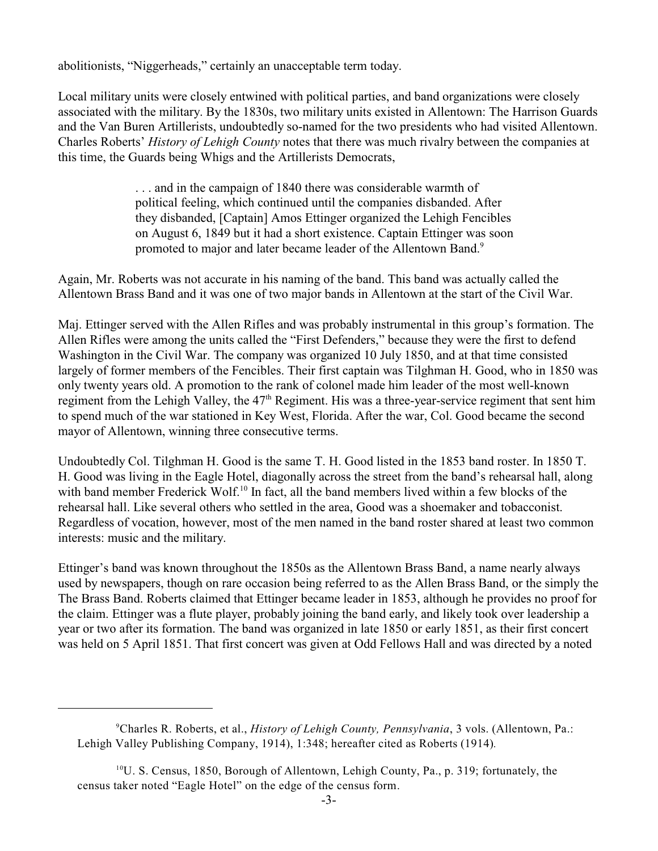abolitionists, "Niggerheads," certainly an unacceptable term today.

Local military units were closely entwined with political parties, and band organizations were closely associated with the military. By the 1830s, two military units existed in Allentown: The Harrison Guards and the Van Buren Artillerists, undoubtedly so-named for the two presidents who had visited Allentown. Charles Roberts' *History of Lehigh County* notes that there was much rivalry between the companies at this time, the Guards being Whigs and the Artillerists Democrats,

> . . . and in the campaign of 1840 there was considerable warmth of political feeling, which continued until the companies disbanded. After they disbanded, [Captain] Amos Ettinger organized the Lehigh Fencibles on August 6, 1849 but it had a short existence. Captain Ettinger was soon promoted to major and later became leader of the Allentown Band.<sup>9</sup>

Again, Mr. Roberts was not accurate in his naming of the band. This band was actually called the Allentown Brass Band and it was one of two major bands in Allentown at the start of the Civil War.

Maj. Ettinger served with the Allen Rifles and was probably instrumental in this group's formation. The Allen Rifles were among the units called the "First Defenders," because they were the first to defend Washington in the Civil War. The company was organized 10 July 1850, and at that time consisted largely of former members of the Fencibles. Their first captain was Tilghman H. Good, who in 1850 was only twenty years old. A promotion to the rank of colonel made him leader of the most well-known regiment from the Lehigh Valley, the 47<sup>th</sup> Regiment. His was a three-year-service regiment that sent him to spend much of the war stationed in Key West, Florida. After the war, Col. Good became the second mayor of Allentown, winning three consecutive terms.

Undoubtedly Col. Tilghman H. Good is the same T. H. Good listed in the 1853 band roster. In 1850 T. H. Good was living in the Eagle Hotel, diagonally across the street from the band's rehearsal hall, along with band member Frederick Wolf.<sup>10</sup> In fact, all the band members lived within a few blocks of the rehearsal hall. Like several others who settled in the area, Good was a shoemaker and tobacconist. Regardless of vocation, however, most of the men named in the band roster shared at least two common interests: music and the military.

Ettinger's band was known throughout the 1850s as the Allentown Brass Band, a name nearly always used by newspapers, though on rare occasion being referred to as the Allen Brass Band, or the simply the The Brass Band. Roberts claimed that Ettinger became leader in 1853, although he provides no proof for the claim. Ettinger was a flute player, probably joining the band early, and likely took over leadership a year or two after its formation. The band was organized in late 1850 or early 1851, as their first concert was held on 5 April 1851. That first concert was given at Odd Fellows Hall and was directed by a noted

Charles R. Roberts, et al., *History of Lehigh County, Pennsylvania*, 3 vols. (Allentown, Pa.: <sup>9</sup> Lehigh Valley Publishing Company, 1914), 1:348; hereafter cited as Roberts (1914)*.*

 $^{10}$ U. S. Census, 1850, Borough of Allentown, Lehigh County, Pa., p. 319; fortunately, the census taker noted "Eagle Hotel" on the edge of the census form.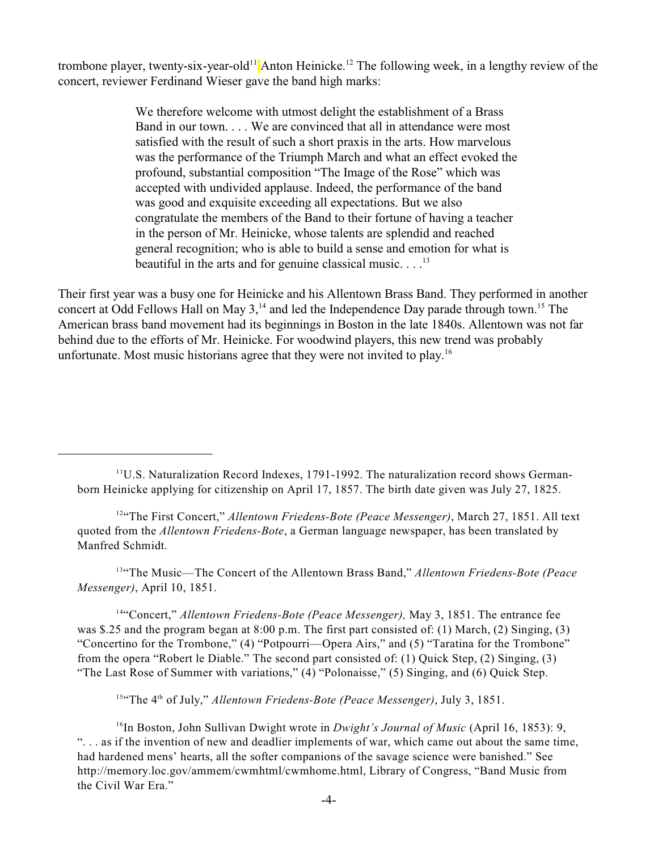trombone player, twenty-six-year-old<sup>11</sup> Anton Heinicke.<sup>12</sup> The following week, in a lengthy review of the concert, reviewer Ferdinand Wieser gave the band high marks:

> We therefore welcome with utmost delight the establishment of a Brass Band in our town. . . . We are convinced that all in attendance were most satisfied with the result of such a short praxis in the arts. How marvelous was the performance of the Triumph March and what an effect evoked the profound, substantial composition "The Image of the Rose" which was accepted with undivided applause. Indeed, the performance of the band was good and exquisite exceeding all expectations. But we also congratulate the members of the Band to their fortune of having a teacher in the person of Mr. Heinicke, whose talents are splendid and reached general recognition; who is able to build a sense and emotion for what is beautiful in the arts and for genuine classical music.  $\ldots$ <sup>13</sup>

Their first year was a busy one for Heinicke and his Allentown Brass Band. They performed in another concert at Odd Fellows Hall on May  $3<sup>14</sup>$  and led the Independence Day parade through town.<sup>15</sup> The American brass band movement had its beginnings in Boston in the late 1840s. Allentown was not far behind due to the efforts of Mr. Heinicke. For woodwind players, this new trend was probably unfortunate. Most music historians agree that they were not invited to play.<sup>16</sup>

<sup>12</sup>"The First Concert," Allentown Friedens-Bote (Peace Messenger), March 27, 1851. All text quoted from the *Allentown Friedens-Bote*, a German language newspaper, has been translated by Manfred Schmidt.

<sup>13</sup>"The Music—The Concert of the Allentown Brass Band," *Allentown Friedens-Bote (Peace Messenger)*, April 10, 1851.

<sup>14</sup>"Concert," *Allentown Friedens-Bote (Peace Messenger)*, May 3, 1851. The entrance fee was \$.25 and the program began at 8:00 p.m. The first part consisted of: (1) March, (2) Singing, (3) "Concertino for the Trombone," (4) "Potpourri—Opera Airs," and (5) "Taratina for the Trombone" from the opera "Robert le Diable." The second part consisted of: (1) Quick Step, (2) Singing, (3) "The Last Rose of Summer with variations," (4) "Polonaisse," (5) Singing, and (6) Quick Step.

<sup>15</sup>"The 4<sup>th</sup> of July," *Allentown Friedens-Bote (Peace Messenger)*, July 3, 1851.

<sup>16</sup>In Boston, John Sullivan Dwight wrote in *Dwight's Journal of Music* (April 16, 1853): 9, ". . . as if the invention of new and deadlier implements of war, which came out about the same time, had hardened mens' hearts, all the softer companions of the savage science were banished." See http://memory.loc.gov/ammem/cwmhtml/cwmhome.html, Library of Congress, "Band Music from the Civil War Era."

 $11$ U.S. Naturalization Record Indexes, 1791-1992. The naturalization record shows Germanborn Heinicke applying for citizenship on April 17, 1857. The birth date given was July 27, 1825.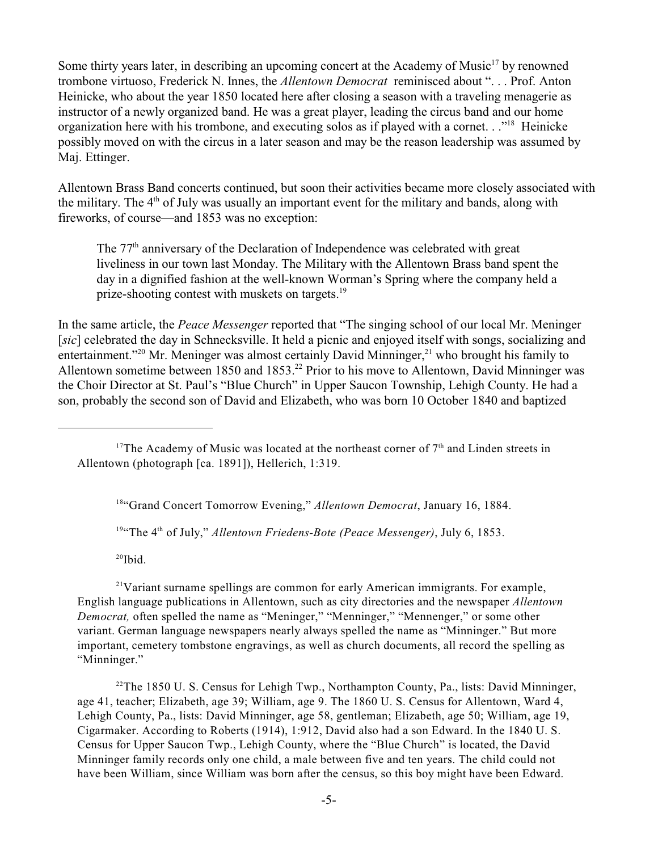Some thirty years later, in describing an upcoming concert at the Academy of Music<sup>17</sup> by renowned trombone virtuoso, Frederick N. Innes, the *Allentown Democrat* reminisced about ". . . Prof. Anton Heinicke, who about the year 1850 located here after closing a season with a traveling menagerie as instructor of a newly organized band. He was a great player, leading the circus band and our home organization here with his trombone, and executing solos as if played with a cornet. . ."<sup>18</sup> Heinicke possibly moved on with the circus in a later season and may be the reason leadership was assumed by Maj. Ettinger.

Allentown Brass Band concerts continued, but soon their activities became more closely associated with the military. The  $4<sup>th</sup>$  of July was usually an important event for the military and bands, along with fireworks, of course—and 1853 was no exception:

The  $77<sup>th</sup>$  anniversary of the Declaration of Independence was celebrated with great liveliness in our town last Monday. The Military with the Allentown Brass band spent the day in a dignified fashion at the well-known Worman's Spring where the company held a prize-shooting contest with muskets on targets.<sup>19</sup>

In the same article, the *Peace Messenger* reported that "The singing school of our local Mr. Meninger [*sic*] celebrated the day in Schnecksville. It held a picnic and enjoyed itself with songs, socializing and entertainment."<sup>20</sup> Mr. Meninger was almost certainly David Minninger,<sup>21</sup> who brought his family to Allentown sometime between 1850 and 1853.<sup>22</sup> Prior to his move to Allentown, David Minninger was the Choir Director at St. Paul's "Blue Church" in Upper Saucon Township, Lehigh County. He had a son, probably the second son of David and Elizabeth, who was born 10 October 1840 and baptized

<sup>18</sup>"Grand Concert Tomorrow Evening," *Allentown Democrat*, January 16, 1884.

<sup>19</sup>"The 4<sup>th</sup> of July," *Allentown Friedens-Bote (Peace Messenger)*, July 6, 1853.

 $^{20}$ Ibid.

<sup>21</sup>Variant surname spellings are common for early American immigrants. For example, English language publications in Allentown, such as city directories and the newspaper *Allentown Democrat,* often spelled the name as "Meninger," "Menninger," "Mennenger," or some other variant. German language newspapers nearly always spelled the name as "Minninger." But more important, cemetery tombstone engravings, as well as church documents, all record the spelling as "Minninger."

<sup>22</sup>The 1850 U. S. Census for Lehigh Twp., Northampton County, Pa., lists: David Minninger, age 41, teacher; Elizabeth, age 39; William, age 9. The 1860 U. S. Census for Allentown, Ward 4, Lehigh County, Pa., lists: David Minninger, age 58, gentleman; Elizabeth, age 50; William, age 19, Cigarmaker. According to Roberts (1914), 1:912, David also had a son Edward. In the 1840 U. S. Census for Upper Saucon Twp., Lehigh County, where the "Blue Church" is located, the David Minninger family records only one child, a male between five and ten years. The child could not have been William, since William was born after the census, so this boy might have been Edward.

<sup>&</sup>lt;sup>17</sup>The Academy of Music was located at the northeast corner of  $7<sup>th</sup>$  and Linden streets in Allentown (photograph [ca. 1891]), Hellerich, 1:319.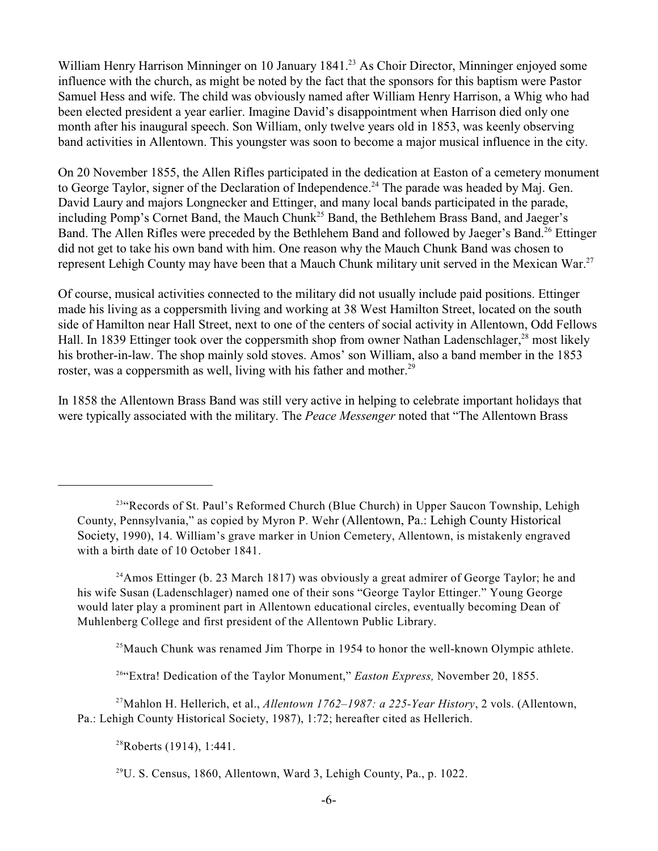William Henry Harrison Minninger on 10 January 1841.<sup>23</sup> As Choir Director, Minninger enjoyed some influence with the church, as might be noted by the fact that the sponsors for this baptism were Pastor Samuel Hess and wife. The child was obviously named after William Henry Harrison, a Whig who had been elected president a year earlier. Imagine David's disappointment when Harrison died only one month after his inaugural speech. Son William, only twelve years old in 1853, was keenly observing band activities in Allentown. This youngster was soon to become a major musical influence in the city.

On 20 November 1855, the Allen Rifles participated in the dedication at Easton of a cemetery monument to George Taylor, signer of the Declaration of Independence.<sup>24</sup> The parade was headed by Maj. Gen. David Laury and majors Longnecker and Ettinger, and many local bands participated in the parade, including Pomp's Cornet Band, the Mauch Chunk<sup>25</sup> Band, the Bethlehem Brass Band, and Jaeger's Band. The Allen Rifles were preceded by the Bethlehem Band and followed by Jaeger's Band.<sup>26</sup> Ettinger did not get to take his own band with him. One reason why the Mauch Chunk Band was chosen to represent Lehigh County may have been that a Mauch Chunk military unit served in the Mexican War.<sup>27</sup>

Of course, musical activities connected to the military did not usually include paid positions. Ettinger made his living as a coppersmith living and working at 38 West Hamilton Street, located on the south side of Hamilton near Hall Street, next to one of the centers of social activity in Allentown, Odd Fellows Hall. In 1839 Ettinger took over the coppersmith shop from owner Nathan Ladenschlager,<sup>28</sup> most likely his brother-in-law. The shop mainly sold stoves. Amos' son William, also a band member in the 1853 roster, was a coppersmith as well, living with his father and mother.<sup>29</sup>

In 1858 the Allentown Brass Band was still very active in helping to celebrate important holidays that were typically associated with the military. The *Peace Messenger* noted that "The Allentown Brass

<sup>25</sup> Mauch Chunk was renamed Jim Thorpe in 1954 to honor the well-known Olympic athlete.

<sup>264</sup>Extra! Dedication of the Taylor Monument," *Easton Express*, November 20, 1855.

<sup>27</sup> Mahlon H. Hellerich, et al., *Allentown 1762–1987: a 225-Year History*, 2 vols. (Allentown, Pa.: Lehigh County Historical Society, 1987), 1:72; hereafter cited as Hellerich.

 $28$ Roberts (1914), 1:441.

<sup>&</sup>lt;sup>23</sup>"Records of St. Paul's Reformed Church (Blue Church) in Upper Saucon Township, Lehigh County, Pennsylvania," as copied by Myron P. Wehr (Allentown, Pa.: Lehigh County Historical Society, 1990), 14. William's grave marker in Union Cemetery, Allentown, is mistakenly engraved with a birth date of 10 October 1841.

<sup>&</sup>lt;sup>24</sup> Amos Ettinger (b. 23 March 1817) was obviously a great admirer of George Taylor; he and his wife Susan (Ladenschlager) named one of their sons "George Taylor Ettinger." Young George would later play a prominent part in Allentown educational circles, eventually becoming Dean of Muhlenberg College and first president of the Allentown Public Library.

 $^{29}$ U. S. Census, 1860, Allentown, Ward 3, Lehigh County, Pa., p. 1022.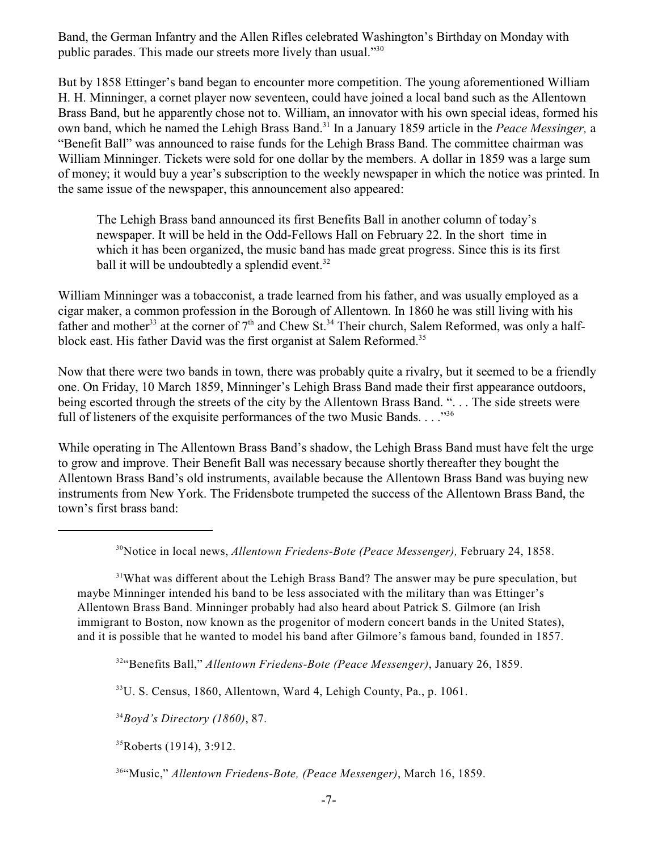Band, the German Infantry and the Allen Rifles celebrated Washington's Birthday on Monday with public parades. This made our streets more lively than usual."<sup>30</sup>

But by 1858 Ettinger's band began to encounter more competition. The young aforementioned William H. H. Minninger, a cornet player now seventeen, could have joined a local band such as the Allentown Brass Band, but he apparently chose not to. William, an innovator with his own special ideas, formed his own band, which he named the Lehigh Brass Band.<sup>31</sup> In a January 1859 article in the *Peace Messinger*, a "Benefit Ball" was announced to raise funds for the Lehigh Brass Band. The committee chairman was William Minninger. Tickets were sold for one dollar by the members. A dollar in 1859 was a large sum of money; it would buy a year's subscription to the weekly newspaper in which the notice was printed. In the same issue of the newspaper, this announcement also appeared:

The Lehigh Brass band announced its first Benefits Ball in another column of today's newspaper. It will be held in the Odd-Fellows Hall on February 22. In the short time in which it has been organized, the music band has made great progress. Since this is its first ball it will be undoubtedly a splendid event.<sup>32</sup>

William Minninger was a tobacconist, a trade learned from his father, and was usually employed as a cigar maker, a common profession in the Borough of Allentown. In 1860 he was still living with his father and mother<sup>33</sup> at the corner of  $7<sup>th</sup>$  and Chew St.<sup>34</sup> Their church, Salem Reformed, was only a halfblock east. His father David was the first organist at Salem Reformed.<sup>35</sup>

Now that there were two bands in town, there was probably quite a rivalry, but it seemed to be a friendly one. On Friday, 10 March 1859, Minninger's Lehigh Brass Band made their first appearance outdoors, being escorted through the streets of the city by the Allentown Brass Band. "... The side streets were full of listeners of the exquisite performances of the two Music Bands.  $\ldots$ <sup>356</sup>

While operating in The Allentown Brass Band's shadow, the Lehigh Brass Band must have felt the urge to grow and improve. Their Benefit Ball was necessary because shortly thereafter they bought the Allentown Brass Band's old instruments, available because the Allentown Brass Band was buying new instruments from New York. The Fridensbote trumpeted the success of the Allentown Brass Band, the town's first brass band:

<sup>31</sup>What was different about the Lehigh Brass Band? The answer may be pure speculation, but maybe Minninger intended his band to be less associated with the military than was Ettinger's Allentown Brass Band. Minninger probably had also heard about Patrick S. Gilmore (an Irish immigrant to Boston, now known as the progenitor of modern concert bands in the United States), and it is possible that he wanted to model his band after Gilmore's famous band, founded in 1857.

<sup>32</sup>"Benefits Ball," *Allentown Friedens-Bote (Peace Messenger)*, January 26, 1859.

<sup>33</sup>U. S. Census, 1860, Allentown, Ward 4, Lehigh County, Pa., p. 1061.

*Boyd's Directory (1860)*, 87. 34

 $35Roberts (1914), 3:912.$ 

<sup>&</sup>lt;sup>30</sup>Notice in local news, *Allentown Friedens-Bote (Peace Messenger)*, February 24, 1858.

<sup>&</sup>lt;sup>36</sup>"Music," *Allentown Friedens-Bote, (Peace Messenger)*, March 16, 1859.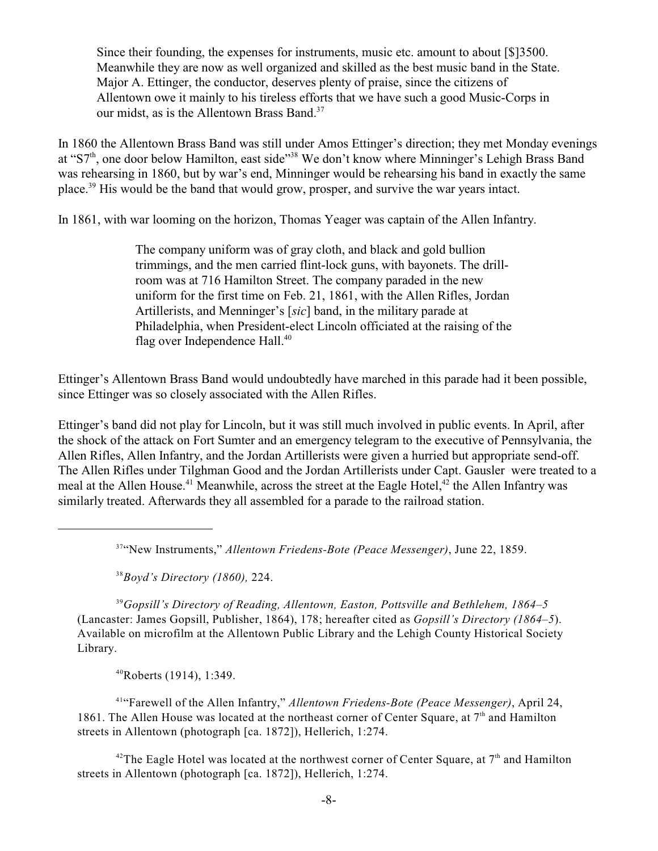Since their founding, the expenses for instruments, music etc. amount to about [\$]3500. Meanwhile they are now as well organized and skilled as the best music band in the State. Major A. Ettinger, the conductor, deserves plenty of praise, since the citizens of Allentown owe it mainly to his tireless efforts that we have such a good Music-Corps in our midst, as is the Allentown Brass Band.<sup>37</sup>

In 1860 the Allentown Brass Band was still under Amos Ettinger's direction; they met Monday evenings at "S7<sup>th</sup>, one door below Hamilton, east side"<sup>38</sup> We don't know where Minninger's Lehigh Brass Band was rehearsing in 1860, but by war's end, Minninger would be rehearsing his band in exactly the same place.<sup>39</sup> His would be the band that would grow, prosper, and survive the war years intact.

In 1861, with war looming on the horizon, Thomas Yeager was captain of the Allen Infantry.

The company uniform was of gray cloth, and black and gold bullion trimmings, and the men carried flint-lock guns, with bayonets. The drillroom was at 716 Hamilton Street. The company paraded in the new uniform for the first time on Feb. 21, 1861, with the Allen Rifles, Jordan Artillerists, and Menninger's [*sic*] band, in the military parade at Philadelphia, when President-elect Lincoln officiated at the raising of the flag over Independence Hall.<sup>40</sup>

Ettinger's Allentown Brass Band would undoubtedly have marched in this parade had it been possible, since Ettinger was so closely associated with the Allen Rifles.

Ettinger's band did not play for Lincoln, but it was still much involved in public events. In April, after the shock of the attack on Fort Sumter and an emergency telegram to the executive of Pennsylvania, the Allen Rifles, Allen Infantry, and the Jordan Artillerists were given a hurried but appropriate send-off. The Allen Rifles under Tilghman Good and the Jordan Artillerists under Capt. Gausler were treated to a meal at the Allen House.<sup>41</sup> Meanwhile, across the street at the Eagle Hotel,<sup>42</sup> the Allen Infantry was similarly treated. Afterwards they all assembled for a parade to the railroad station.

<sup>37</sup>"New Instruments," Allentown Friedens-Bote (Peace Messenger), June 22, 1859.

*Boyd's Directory (1860),* 224. <sup>38</sup>

<sup>39</sup> Gopsill's Directory of Reading, Allentown, Easton, Pottsville and Bethlehem, 1864–5 (Lancaster: James Gopsill, Publisher, 1864), 178; hereafter cited as *Gopsill's Directory (1864–5*). Available on microfilm at the Allentown Public Library and the Lehigh County Historical Society Library.

 $40Roberts (1914), 1:349.$ 

<sup>41</sup>"Farewell of the Allen Infantry," Allentown Friedens-Bote (Peace Messenger), April 24, 1861. The Allen House was located at the northeast corner of Center Square, at  $7<sup>th</sup>$  and Hamilton streets in Allentown (photograph [ca. 1872]), Hellerich, 1:274.

<sup>42</sup>The Eagle Hotel was located at the northwest corner of Center Square, at  $7<sup>th</sup>$  and Hamilton streets in Allentown (photograph [ca. 1872]), Hellerich, 1:274.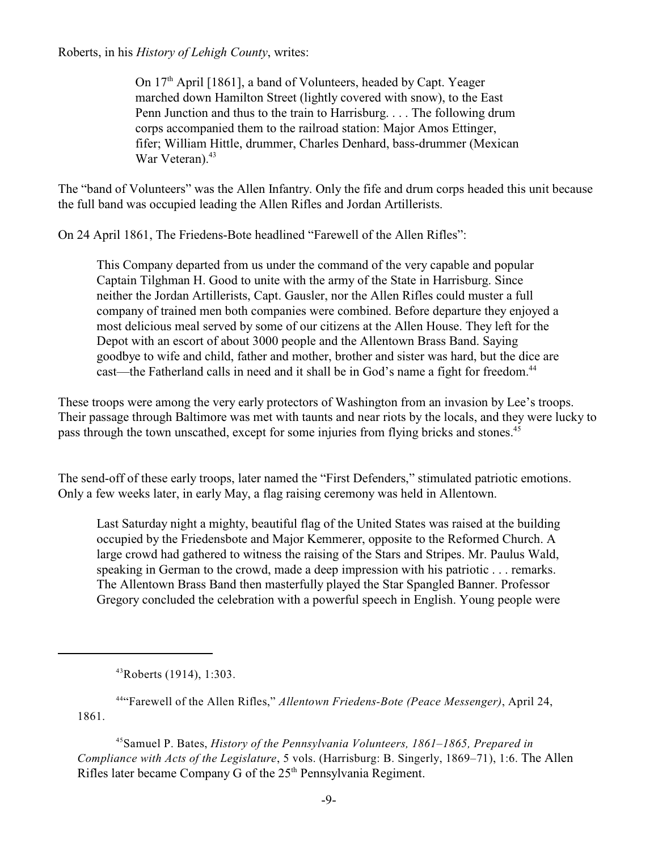Roberts, in his *History of Lehigh County*, writes:

On 17<sup>th</sup> April [1861], a band of Volunteers, headed by Capt. Yeager marched down Hamilton Street (lightly covered with snow), to the East Penn Junction and thus to the train to Harrisburg. . . . The following drum corps accompanied them to the railroad station: Major Amos Ettinger, fifer; William Hittle, drummer, Charles Denhard, bass-drummer (Mexican War Veteran). 43

The "band of Volunteers" was the Allen Infantry. Only the fife and drum corps headed this unit because the full band was occupied leading the Allen Rifles and Jordan Artillerists.

On 24 April 1861, The Friedens-Bote headlined "Farewell of the Allen Rifles":

This Company departed from us under the command of the very capable and popular Captain Tilghman H. Good to unite with the army of the State in Harrisburg. Since neither the Jordan Artillerists, Capt. Gausler, nor the Allen Rifles could muster a full company of trained men both companies were combined. Before departure they enjoyed a most delicious meal served by some of our citizens at the Allen House. They left for the Depot with an escort of about 3000 people and the Allentown Brass Band. Saying goodbye to wife and child, father and mother, brother and sister was hard, but the dice are cast—the Fatherland calls in need and it shall be in God's name a fight for freedom.<sup>44</sup>

These troops were among the very early protectors of Washington from an invasion by Lee's troops. Their passage through Baltimore was met with taunts and near riots by the locals, and they were lucky to pass through the town unscathed, except for some injuries from flying bricks and stones.<sup>45</sup>

The send-off of these early troops, later named the "First Defenders," stimulated patriotic emotions. Only a few weeks later, in early May, a flag raising ceremony was held in Allentown.

Last Saturday night a mighty, beautiful flag of the United States was raised at the building occupied by the Friedensbote and Major Kemmerer, opposite to the Reformed Church. A large crowd had gathered to witness the raising of the Stars and Stripes. Mr. Paulus Wald, speaking in German to the crowd, made a deep impression with his patriotic . . . remarks. The Allentown Brass Band then masterfully played the Star Spangled Banner. Professor Gregory concluded the celebration with a powerful speech in English. Young people were

<sup>44</sup>"Farewell of the Allen Rifles," Allentown Friedens-Bote (Peace Messenger), April 24, 1861.

<sup>45</sup> Samuel P. Bates, *History of the Pennsylvania Volunteers, 1861–1865, Prepared in Compliance with Acts of the Legislature*, 5 vols. (Harrisburg: B. Singerly, 1869–71), 1:6. The Allen Rifles later became Company G of the  $25<sup>th</sup>$  Pennsylvania Regiment.

 $43$ Roberts (1914), 1:303.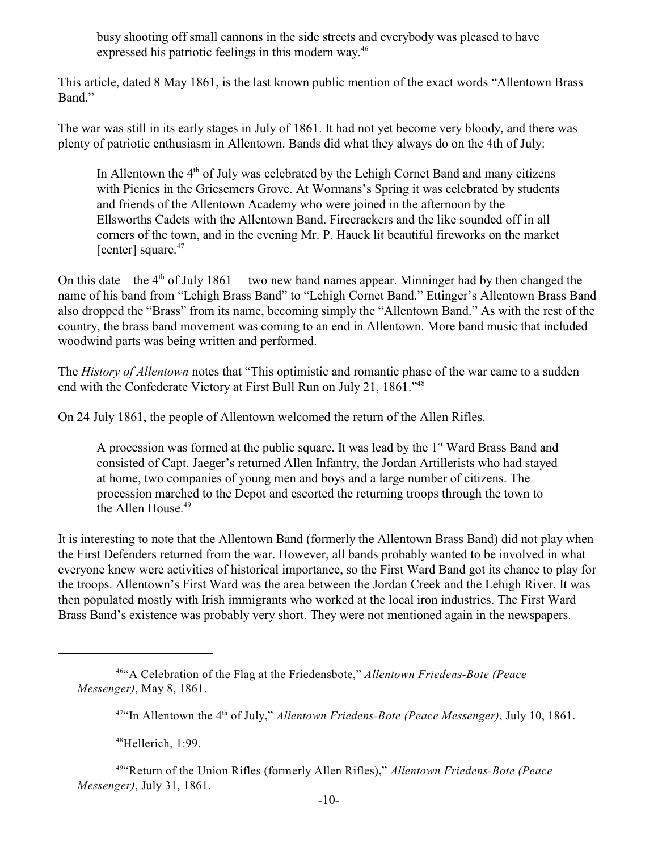busy shooting off small cannons in the side streets and everybody was pleased to have expressed his patriotic feelings in this modern way.<sup>46</sup>

This article, dated 8 May 1861, is the last known public mention of the exact words "Allentown Brass Band."

The war was still in its early stages in July of 1861. It had not yet become very bloody, and there was plenty of patriotic enthusiasm in Allentown. Bands did what they always do on the 4th of July:

In Allentown the  $4<sup>th</sup>$  of July was celebrated by the Lehigh Cornet Band and many citizens with Picnics in the Griesemers Grove. At Wormans's Spring it was celebrated by students and friends of the Allentown Academy who were joined in the afternoon by the Ellsworths Cadets with the Allentown Band. Firecrackers and the like sounded off in all corners of the town, and in the evening Mr. P. Hauck lit beautiful fireworks on the market [center] square.<sup>47</sup>

On this date—the  $4<sup>th</sup>$  of July 1861— two new band names appear. Minninger had by then changed the name of his band from "Lehigh Brass Band" to "Lehigh Cornet Band." Ettinger's Allentown Brass Band also dropped the "Brass" from its name, becoming simply the "Allentown Band." As with the rest of the country, the brass band movement was coming to an end in Allentown. More band music that included woodwind parts was being written and performed.

The *History of Allentown* notes that "This optimistic and romantic phase of the war came to a sudden end with the Confederate Victory at First Bull Run on July 21, 1861."<sup>48</sup>

On 24 July 1861, the people of Allentown welcomed the return of the Allen Rifles.

A procession was formed at the public square. It was lead by the  $1<sup>st</sup>$  Ward Brass Band and consisted of Capt. Jaeger's returned Allen Infantry, the Jordan Artillerists who had stayed at home, two companies of young men and boys and a large number of citizens. The procession marched to the Depot and escorted the returning troops through the town to the Allen House. 49

It is interesting to note that the Allentown Band (formerly the Allentown Brass Band) did not play when the First Defenders returned from the war. However, all bands probably wanted to be involved in what everyone knew were activities of historical importance, so the First Ward Band got its chance to play for the troops. Allentown's First Ward was the area between the Jordan Creek and the Lehigh River. It was then populated mostly with Irish immigrants who worked at the local iron industries. The First Ward Brass Band's existence was probably very short. They were not mentioned again in the newspapers.

<sup>47</sup>"In Allentown the 4<sup>th</sup> of July," *Allentown Friedens-Bote (Peace Messenger)*, July 10, 1861.

 $48$ Hellerich, 1:99.

<sup>&</sup>lt;sup>46</sup><sup>46</sup> A Celebration of the Flag at the Friedensbote," *Allentown Friedens-Bote (Peace Messenger)*, May 8, 1861.

<sup>&</sup>lt;sup>49</sup>"Return of the Union Rifles (formerly Allen Rifles)," *Allentown Friedens-Bote (Peace Messenger)*, July 31, 1861.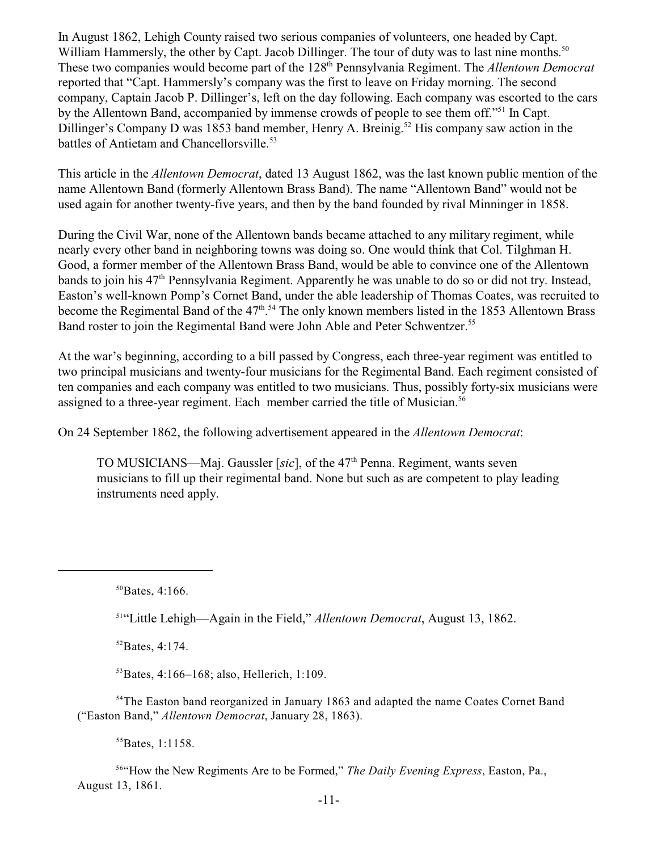In August 1862, Lehigh County raised two serious companies of volunteers, one headed by Capt. William Hammersly, the other by Capt. Jacob Dillinger. The tour of duty was to last nine months.<sup>50</sup> These two companies would become part of the 128<sup>th</sup> Pennsylvania Regiment. The *Allentown Democrat* reported that "Capt. Hammersly's company was the first to leave on Friday morning. The second company, Captain Jacob P. Dillinger's, left on the day following. Each company was escorted to the cars by the Allentown Band, accompanied by immense crowds of people to see them off."<sup>51</sup> In Capt. Dillinger's Company D was 1853 band member, Henry A. Breinig.<sup>52</sup> His company saw action in the battles of Antietam and Chancellorsville.<sup>53</sup>

This article in the *Allentown Democrat*, dated 13 August 1862, was the last known public mention of the name Allentown Band (formerly Allentown Brass Band). The name "Allentown Band" would not be used again for another twenty-five years, and then by the band founded by rival Minninger in 1858.

During the Civil War, none of the Allentown bands became attached to any military regiment, while nearly every other band in neighboring towns was doing so. One would think that Col. Tilghman H. Good, a former member of the Allentown Brass Band, would be able to convince one of the Allentown bands to join his 47<sup>th</sup> Pennsylvania Regiment. Apparently he was unable to do so or did not try. Instead, Easton's well-known Pomp's Cornet Band, under the able leadership of Thomas Coates, was recruited to become the Regimental Band of the  $47<sup>th,54</sup>$  The only known members listed in the 1853 Allentown Brass Band roster to join the Regimental Band were John Able and Peter Schwentzer.<sup>55</sup>

At the war's beginning, according to a bill passed by Congress, each three-year regiment was entitled to two principal musicians and twenty-four musicians for the Regimental Band. Each regiment consisted of ten companies and each company was entitled to two musicians. Thus, possibly forty-six musicians were assigned to a three-year regiment. Each member carried the title of Musician.<sup>56</sup>

On 24 September 1862, the following advertisement appeared in the *Allentown Democrat*:

TO MUSICIANS—Maj. Gaussler [*sic*], of the 47<sup>th</sup> Penna. Regiment, wants seven musicians to fill up their regimental band. None but such as are competent to play leading instruments need apply.

<sup>51</sup>"Little Lehigh—Again in the Field," *Allentown Democrat*, August 13, 1862.

 ${}^{52}$ Bates, 4:174.

 $^{53}$ Bates, 4:166–168; also, Hellerich, 1:109.

 $54$ The Easton band reorganized in January 1863 and adapted the name Coates Cornet Band ("Easton Band," *Allentown Democrat*, January 28, 1863).

 $55$ Bates, 1:1158.

<sup>56</sup> How the New Regiments Are to be Formed," *The Daily Evening Express*, Easton, Pa., August 13, 1861.

 $50$ Bates, 4:166.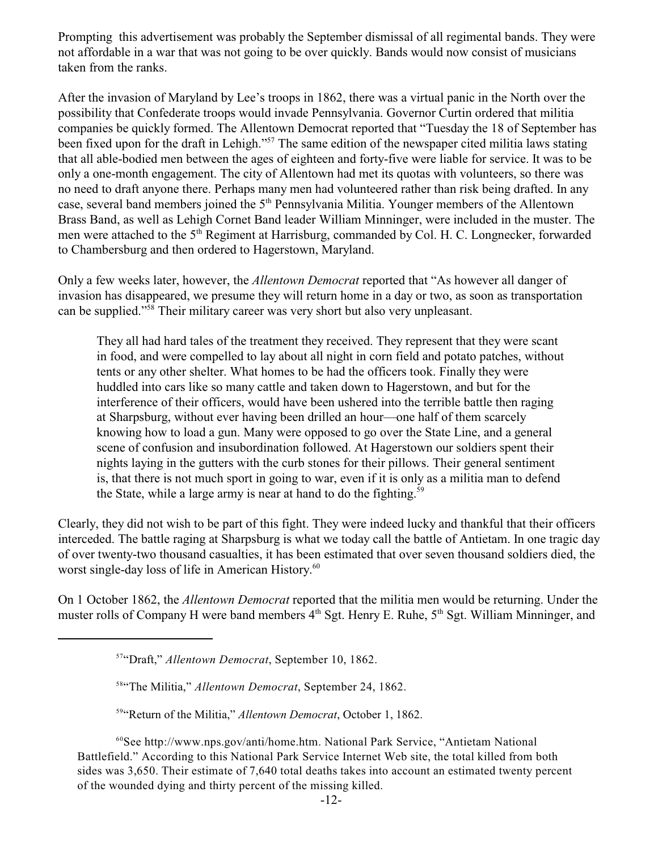Prompting this advertisement was probably the September dismissal of all regimental bands. They were not affordable in a war that was not going to be over quickly. Bands would now consist of musicians taken from the ranks.

After the invasion of Maryland by Lee's troops in 1862, there was a virtual panic in the North over the possibility that Confederate troops would invade Pennsylvania. Governor Curtin ordered that militia companies be quickly formed. The Allentown Democrat reported that "Tuesday the 18 of September has been fixed upon for the draft in Lehigh."<sup>57</sup> The same edition of the newspaper cited militia laws stating that all able-bodied men between the ages of eighteen and forty-five were liable for service. It was to be only a one-month engagement. The city of Allentown had met its quotas with volunteers, so there was no need to draft anyone there. Perhaps many men had volunteered rather than risk being drafted. In any case, several band members joined the 5<sup>th</sup> Pennsylvania Militia. Younger members of the Allentown Brass Band, as well as Lehigh Cornet Band leader William Minninger, were included in the muster. The men were attached to the 5<sup>th</sup> Regiment at Harrisburg, commanded by Col. H. C. Longnecker, forwarded to Chambersburg and then ordered to Hagerstown, Maryland.

Only a few weeks later, however, the *Allentown Democrat* reported that "As however all danger of invasion has disappeared, we presume they will return home in a day or two, as soon as transportation can be supplied."<sup>58</sup> Their military career was very short but also very unpleasant.

They all had hard tales of the treatment they received. They represent that they were scant in food, and were compelled to lay about all night in corn field and potato patches, without tents or any other shelter. What homes to be had the officers took. Finally they were huddled into cars like so many cattle and taken down to Hagerstown, and but for the interference of their officers, would have been ushered into the terrible battle then raging at Sharpsburg, without ever having been drilled an hour—one half of them scarcely knowing how to load a gun. Many were opposed to go over the State Line, and a general scene of confusion and insubordination followed. At Hagerstown our soldiers spent their nights laying in the gutters with the curb stones for their pillows. Their general sentiment is, that there is not much sport in going to war, even if it is only as a militia man to defend the State, while a large army is near at hand to do the fighting.<sup>59</sup>

Clearly, they did not wish to be part of this fight. They were indeed lucky and thankful that their officers interceded. The battle raging at Sharpsburg is what we today call the battle of Antietam. In one tragic day of over twenty-two thousand casualties, it has been estimated that over seven thousand soldiers died, the worst single-day loss of life in American History.<sup>60</sup>

On 1 October 1862, the *Allentown Democrat* reported that the militia men would be returning. Under the muster rolls of Company H were band members 4<sup>th</sup> Sgt. Henry E. Ruhe, 5<sup>th</sup> Sgt. William Minninger, and

<sup>59</sup>"Return of the Militia," Allentown Democrat, October 1, 1862.

 ${}^{60}$ See http://www.nps.gov/anti/home.htm. National Park Service, "Antietam National Battlefield." According to this National Park Service Internet Web site, the total killed from both sides was 3,650. Their estimate of 7,640 total deaths takes into account an estimated twenty percent of the wounded dying and thirty percent of the missing killed.

<sup>&</sup>lt;sup>57</sup>"Draft," *Allentown Democrat*, September 10, 1862.

<sup>&</sup>lt;sup>58</sup>"The Militia," *Allentown Democrat*, September 24, 1862.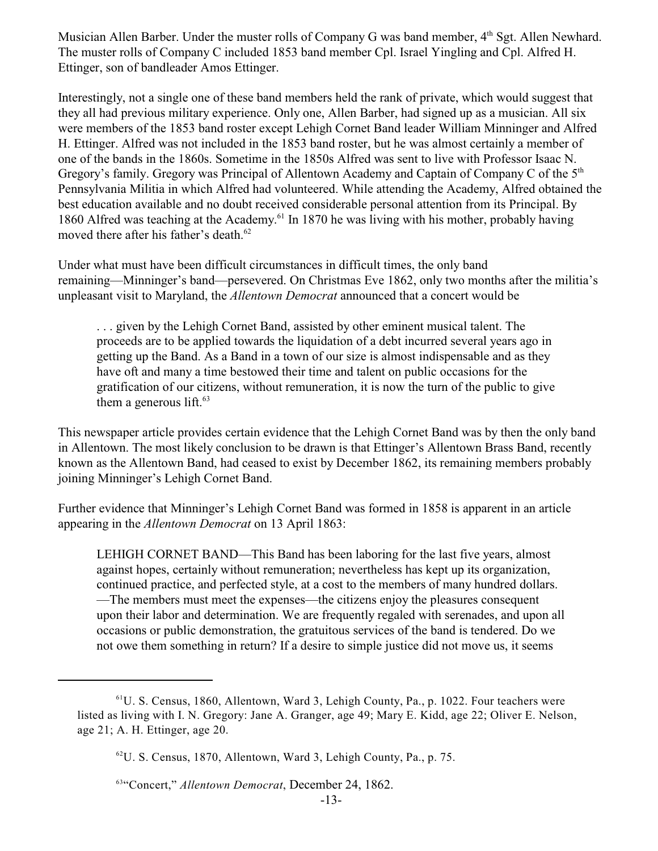Musician Allen Barber. Under the muster rolls of Company G was band member, 4<sup>th</sup> Sgt. Allen Newhard. The muster rolls of Company C included 1853 band member Cpl. Israel Yingling and Cpl. Alfred H. Ettinger, son of bandleader Amos Ettinger.

Interestingly, not a single one of these band members held the rank of private, which would suggest that they all had previous military experience. Only one, Allen Barber, had signed up as a musician. All six were members of the 1853 band roster except Lehigh Cornet Band leader William Minninger and Alfred H. Ettinger. Alfred was not included in the 1853 band roster, but he was almost certainly a member of one of the bands in the 1860s. Sometime in the 1850s Alfred was sent to live with Professor Isaac N. Gregory's family. Gregory was Principal of Allentown Academy and Captain of Company C of the 5<sup>th</sup> Pennsylvania Militia in which Alfred had volunteered. While attending the Academy, Alfred obtained the best education available and no doubt received considerable personal attention from its Principal. By 1860 Alfred was teaching at the Academy.<sup> $61$ </sup> In 1870 he was living with his mother, probably having moved there after his father's death.<sup>62</sup>

Under what must have been difficult circumstances in difficult times, the only band remaining—Minninger's band—persevered. On Christmas Eve 1862, only two months after the militia's unpleasant visit to Maryland, the *Allentown Democrat* announced that a concert would be

. . . given by the Lehigh Cornet Band, assisted by other eminent musical talent. The proceeds are to be applied towards the liquidation of a debt incurred several years ago in getting up the Band. As a Band in a town of our size is almost indispensable and as they have oft and many a time bestowed their time and talent on public occasions for the gratification of our citizens, without remuneration, it is now the turn of the public to give them a generous lift. $63$ 

This newspaper article provides certain evidence that the Lehigh Cornet Band was by then the only band in Allentown. The most likely conclusion to be drawn is that Ettinger's Allentown Brass Band, recently known as the Allentown Band, had ceased to exist by December 1862, its remaining members probably joining Minninger's Lehigh Cornet Band.

Further evidence that Minninger's Lehigh Cornet Band was formed in 1858 is apparent in an article appearing in the *Allentown Democrat* on 13 April 1863:

LEHIGH CORNET BAND—This Band has been laboring for the last five years, almost against hopes, certainly without remuneration; nevertheless has kept up its organization, continued practice, and perfected style, at a cost to the members of many hundred dollars. —The members must meet the expenses—the citizens enjoy the pleasures consequent upon their labor and determination. We are frequently regaled with serenades, and upon all occasions or public demonstration, the gratuitous services of the band is tendered. Do we not owe them something in return? If a desire to simple justice did not move us, it seems

 $61$ U. S. Census, 1860, Allentown, Ward 3, Lehigh County, Pa., p. 1022. Four teachers were listed as living with I. N. Gregory: Jane A. Granger, age 49; Mary E. Kidd, age 22; Oliver E. Nelson, age 21; A. H. Ettinger, age 20.

 $62$ U. S. Census, 1870, Allentown, Ward 3, Lehigh County, Pa., p. 75.

<sup>&</sup>lt;sup>63</sup>"Concert," Allentown Democrat, December 24, 1862.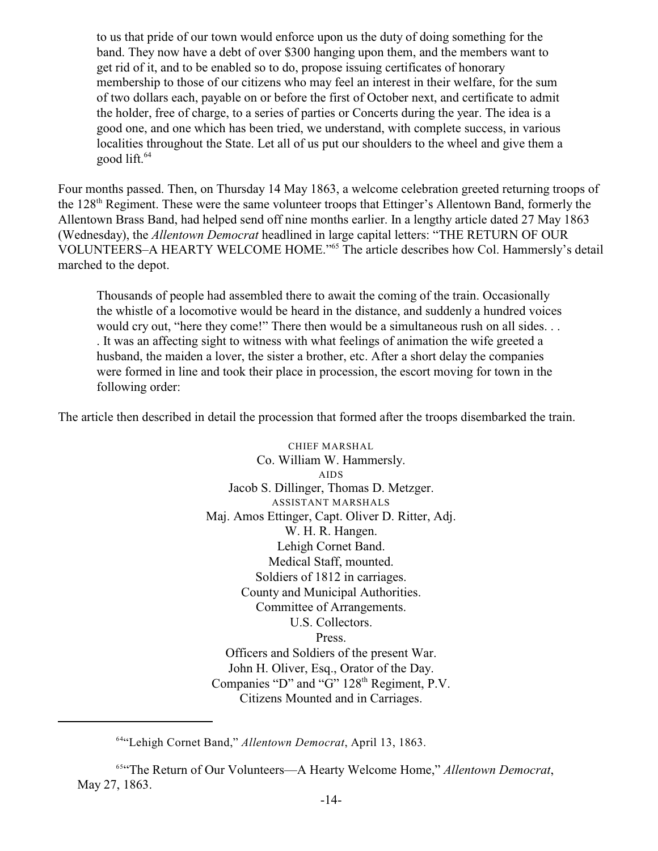to us that pride of our town would enforce upon us the duty of doing something for the band. They now have a debt of over \$300 hanging upon them, and the members want to get rid of it, and to be enabled so to do, propose issuing certificates of honorary membership to those of our citizens who may feel an interest in their welfare, for the sum of two dollars each, payable on or before the first of October next, and certificate to admit the holder, free of charge, to a series of parties or Concerts during the year. The idea is a good one, and one which has been tried, we understand, with complete success, in various localities throughout the State. Let all of us put our shoulders to the wheel and give them a good lift. 64

Four months passed. Then, on Thursday 14 May 1863, a welcome celebration greeted returning troops of the 128<sup>th</sup> Regiment. These were the same volunteer troops that Ettinger's Allentown Band, formerly the Allentown Brass Band, had helped send off nine months earlier. In a lengthy article dated 27 May 1863 (Wednesday), the *Allentown Democrat* headlined in large capital letters: "THE RETURN OF OUR VOLUNTEERS–A HEARTY WELCOME HOME."<sup>65</sup> The article describes how Col. Hammersly's detail marched to the depot.

Thousands of people had assembled there to await the coming of the train. Occasionally the whistle of a locomotive would be heard in the distance, and suddenly a hundred voices would cry out, "here they come!" There then would be a simultaneous rush on all sides. . . . It was an affecting sight to witness with what feelings of animation the wife greeted a husband, the maiden a lover, the sister a brother, etc. After a short delay the companies were formed in line and took their place in procession, the escort moving for town in the following order:

The article then described in detail the procession that formed after the troops disembarked the train.

CHIEF MARSHAL Co. William W. Hammersly. AIDS Jacob S. Dillinger, Thomas D. Metzger. ASSISTANT MARSHALS Maj. Amos Ettinger, Capt. Oliver D. Ritter, Adj. W. H. R. Hangen. Lehigh Cornet Band. Medical Staff, mounted. Soldiers of 1812 in carriages. County and Municipal Authorities. Committee of Arrangements. U.S. Collectors. Press. Officers and Soldiers of the present War. John H. Oliver, Esq., Orator of the Day. Companies "D" and "G"  $128<sup>th</sup>$  Regiment, P.V. Citizens Mounted and in Carriages.

<sup>&</sup>lt;sup>64</sup>"Lehigh Cornet Band," *Allentown Democrat*, April 13, 1863.

<sup>&</sup>lt;sup>656</sup>The Return of Our Volunteers—A Hearty Welcome Home," Allentown Democrat, May 27, 1863.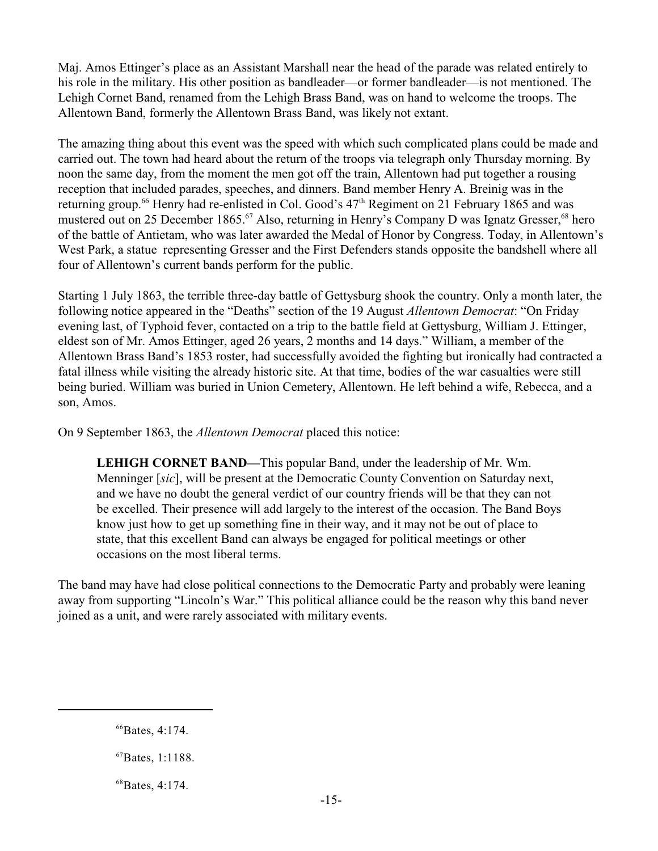Maj. Amos Ettinger's place as an Assistant Marshall near the head of the parade was related entirely to his role in the military. His other position as bandleader—or former bandleader—is not mentioned. The Lehigh Cornet Band, renamed from the Lehigh Brass Band, was on hand to welcome the troops. The Allentown Band, formerly the Allentown Brass Band, was likely not extant.

The amazing thing about this event was the speed with which such complicated plans could be made and carried out. The town had heard about the return of the troops via telegraph only Thursday morning. By noon the same day, from the moment the men got off the train, Allentown had put together a rousing reception that included parades, speeches, and dinners. Band member Henry A. Breinig was in the returning group.<sup>66</sup> Henry had re-enlisted in Col. Good's  $47<sup>th</sup>$  Regiment on 21 February 1865 and was mustered out on 25 December 1865.<sup>67</sup> Also, returning in Henry's Company D was Ignatz Gresser, <sup>68</sup> hero of the battle of Antietam, who was later awarded the Medal of Honor by Congress. Today, in Allentown's West Park, a statue representing Gresser and the First Defenders stands opposite the bandshell where all four of Allentown's current bands perform for the public.

Starting 1 July 1863, the terrible three-day battle of Gettysburg shook the country. Only a month later, the following notice appeared in the "Deaths" section of the 19 August *Allentown Democrat*: "On Friday evening last, of Typhoid fever, contacted on a trip to the battle field at Gettysburg, William J. Ettinger, eldest son of Mr. Amos Ettinger, aged 26 years, 2 months and 14 days." William, a member of the Allentown Brass Band's 1853 roster, had successfully avoided the fighting but ironically had contracted a fatal illness while visiting the already historic site. At that time, bodies of the war casualties were still being buried. William was buried in Union Cemetery, Allentown. He left behind a wife, Rebecca, and a son, Amos.

On 9 September 1863, the *Allentown Democrat* placed this notice:

**LEHIGH CORNET BAND—**This popular Band, under the leadership of Mr. Wm. Menninger [*sic*], will be present at the Democratic County Convention on Saturday next, and we have no doubt the general verdict of our country friends will be that they can not be excelled. Their presence will add largely to the interest of the occasion. The Band Boys know just how to get up something fine in their way, and it may not be out of place to state, that this excellent Band can always be engaged for political meetings or other occasions on the most liberal terms.

The band may have had close political connections to the Democratic Party and probably were leaning away from supporting "Lincoln's War." This political alliance could be the reason why this band never joined as a unit, and were rarely associated with military events.

 $66$ Bates, 4:174.

 $^{67}$ Bates, 1:1188.

 $68$ Bates, 4:174.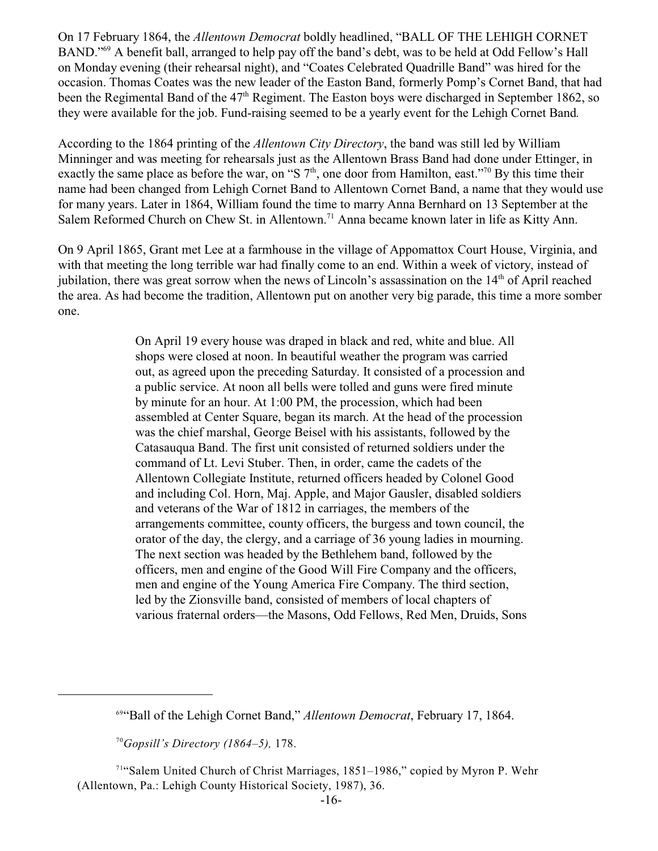On 17 February 1864, the *Allentown Democrat* boldly headlined, "BALL OF THE LEHIGH CORNET BAND."<sup>69</sup> A benefit ball, arranged to help pay off the band's debt, was to be held at Odd Fellow's Hall on Monday evening (their rehearsal night), and "Coates Celebrated Quadrille Band" was hired for the occasion. Thomas Coates was the new leader of the Easton Band, formerly Pomp's Cornet Band, that had been the Regimental Band of the 47<sup>th</sup> Regiment. The Easton boys were discharged in September 1862, so they were available for the job. Fund-raising seemed to be a yearly event for the Lehigh Cornet Band*.*

According to the 1864 printing of the *Allentown City Directory*, the band was still led by William Minninger and was meeting for rehearsals just as the Allentown Brass Band had done under Ettinger, in exactly the same place as before the war, on "S  $7<sup>th</sup>$ , one door from Hamilton, east."<sup>70</sup> By this time their name had been changed from Lehigh Cornet Band to Allentown Cornet Band, a name that they would use for many years. Later in 1864, William found the time to marry Anna Bernhard on 13 September at the Salem Reformed Church on Chew St. in Allentown.<sup>71</sup> Anna became known later in life as Kitty Ann.

On 9 April 1865, Grant met Lee at a farmhouse in the village of Appomattox Court House, Virginia, and with that meeting the long terrible war had finally come to an end. Within a week of victory, instead of jubilation, there was great sorrow when the news of Lincoln's assassination on the 14<sup>th</sup> of April reached the area. As had become the tradition, Allentown put on another very big parade, this time a more somber one.

> On April 19 every house was draped in black and red, white and blue. All shops were closed at noon. In beautiful weather the program was carried out, as agreed upon the preceding Saturday. It consisted of a procession and a public service. At noon all bells were tolled and guns were fired minute by minute for an hour. At 1:00 PM, the procession, which had been assembled at Center Square, began its march. At the head of the procession was the chief marshal, George Beisel with his assistants, followed by the Catasauqua Band. The first unit consisted of returned soldiers under the command of Lt. Levi Stuber. Then, in order, came the cadets of the Allentown Collegiate Institute, returned officers headed by Colonel Good and including Col. Horn, Maj. Apple, and Major Gausler, disabled soldiers and veterans of the War of 1812 in carriages, the members of the arrangements committee, county officers, the burgess and town council, the orator of the day, the clergy, and a carriage of 36 young ladies in mourning. The next section was headed by the Bethlehem band, followed by the officers, men and engine of the Good Will Fire Company and the officers, men and engine of the Young America Fire Company. The third section, led by the Zionsville band, consisted of members of local chapters of various fraternal orders—the Masons, Odd Fellows, Red Men, Druids, Sons

<sup>&</sup>lt;sup>694</sup>Ball of the Lehigh Cornet Band," *Allentown Democrat*, February 17, 1864.

<sup>&</sup>lt;sup>70</sup>Gopsill's Directory (1864–5), 178.

<sup>&</sup>lt;sup>71</sup>"Salem United Church of Christ Marriages,  $1851-1986$ ," copied by Myron P. Wehr (Allentown, Pa.: Lehigh County Historical Society, 1987), 36.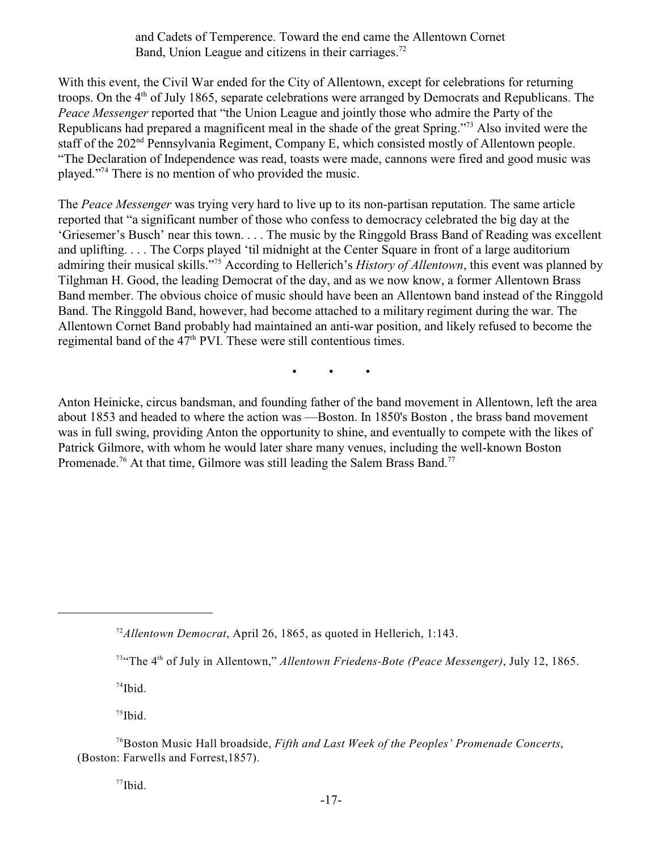and Cadets of Temperence. Toward the end came the Allentown Cornet Band, Union League and citizens in their carriages.<sup>72</sup>

With this event, the Civil War ended for the City of Allentown, except for celebrations for returning troops. On the  $4<sup>th</sup>$  of July 1865, separate celebrations were arranged by Democrats and Republicans. The *Peace Messenger* reported that "the Union League and jointly those who admire the Party of the Republicans had prepared a magnificent meal in the shade of the great Spring."<sup>73</sup> Also invited were the staff of the 202<sup>nd</sup> Pennsylvania Regiment, Company E, which consisted mostly of Allentown people. "The Declaration of Independence was read, toasts were made, cannons were fired and good music was played."<sup>74</sup> There is no mention of who provided the music.

The *Peace Messenger* was trying very hard to live up to its non-partisan reputation. The same article reported that "a significant number of those who confess to democracy celebrated the big day at the 'Griesemer's Busch' near this town. . . . The music by the Ringgold Brass Band of Reading was excellent and uplifting. . . . The Corps played 'til midnight at the Center Square in front of a large auditorium admiring their musical skills."<sup>75</sup> According to Hellerich's *History of Allentown*, this event was planned by Tilghman H. Good, the leading Democrat of the day, and as we now know, a former Allentown Brass Band member. The obvious choice of music should have been an Allentown band instead of the Ringgold Band. The Ringgold Band, however, had become attached to a military regiment during the war. The Allentown Cornet Band probably had maintained an anti-war position, and likely refused to become the regimental band of the  $47<sup>th</sup>$  PVI. These were still contentious times.

• • •

Anton Heinicke, circus bandsman, and founding father of the band movement in Allentown, left the area about 1853 and headed to where the action was —Boston. In 1850's Boston , the brass band movement was in full swing, providing Anton the opportunity to shine, and eventually to compete with the likes of Patrick Gilmore, with whom he would later share many venues, including the well-known Boston Promenade.<sup>76</sup> At that time, Gilmore was still leading the Salem Brass Band.<sup>77</sup>

 $74$ Ibid.

 $^{75}$ Ibid.

 $77$ Ibid.

*Allentown Democrat*, April 26, 1865, as quoted in Hellerich, 1:143. 72

<sup>&</sup>lt;sup>73</sup>"The 4<sup>th</sup> of July in Allentown," *Allentown Friedens-Bote (Peace Messenger)*, July 12, 1865.

<sup>&</sup>lt;sup>76</sup> Boston Music Hall broadside, Fifth and Last Week of the Peoples' Promenade Concerts, (Boston: Farwells and Forrest,1857).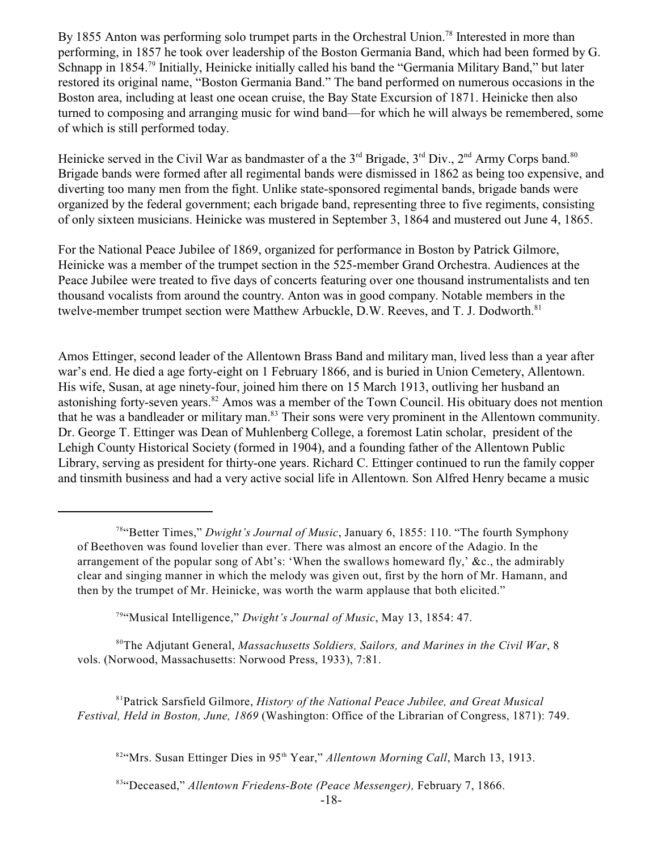By 1855 Anton was performing solo trumpet parts in the Orchestral Union.<sup>78</sup> Interested in more than performing, in 1857 he took over leadership of the Boston Germania Band, which had been formed by G. Schnapp in 1854.<sup>79</sup> Initially, Heinicke initially called his band the "Germania Military Band," but later restored its original name, "Boston Germania Band." The band performed on numerous occasions in the Boston area, including at least one ocean cruise, the Bay State Excursion of 1871. Heinicke then also turned to composing and arranging music for wind band—for which he will always be remembered, some of which is still performed today.

Heinicke served in the Civil War as bandmaster of a the  $3<sup>rd</sup>$  Brigade,  $3<sup>rd</sup>$  Div.,  $2<sup>nd</sup>$  Army Corps band.<sup>80</sup> Brigade bands were formed after all regimental bands were dismissed in 1862 as being too expensive, and diverting too many men from the fight. Unlike state-sponsored regimental bands, brigade bands were organized by the federal government; each brigade band, representing three to five regiments, consisting of only sixteen musicians. Heinicke was mustered in September 3, 1864 and mustered out June 4, 1865.

For the National Peace Jubilee of 1869, organized for performance in Boston by Patrick Gilmore, Heinicke was a member of the trumpet section in the 525-member Grand Orchestra. Audiences at the Peace Jubilee were treated to five days of concerts featuring over one thousand instrumentalists and ten thousand vocalists from around the country. Anton was in good company. Notable members in the twelve-member trumpet section were Matthew Arbuckle, D.W. Reeves, and T. J. Dodworth.<sup>81</sup>

Amos Ettinger, second leader of the Allentown Brass Band and military man, lived less than a year after war's end. He died a age forty-eight on 1 February 1866, and is buried in Union Cemetery, Allentown. His wife, Susan, at age ninety-four, joined him there on 15 March 1913, outliving her husband an astonishing forty-seven years.<sup>82</sup> Amos was a member of the Town Council. His obituary does not mention that he was a bandleader or military man.<sup>83</sup> Their sons were very prominent in the Allentown community. Dr. George T. Ettinger was Dean of Muhlenberg College, a foremost Latin scholar, president of the Lehigh County Historical Society (formed in 1904), and a founding father of the Allentown Public Library, serving as president for thirty-one years. Richard C. Ettinger continued to run the family copper and tinsmith business and had a very active social life in Allentown. Son Alfred Henry became a music

<sup>79</sup>"Musical Intelligence," Dwight's Journal of Music, May 13, 1854: 47.

<sup>80</sup>The Adjutant General, *Massachusetts Soldiers, Sailors, and Marines in the Civil War*, 8 vols. (Norwood, Massachusetts: Norwood Press, 1933), 7:81.

<sup>81</sup> Patrick Sarsfield Gilmore, *History of the National Peace Jubilee, and Great Musical Festival, Held in Boston, June, 1869* (Washington: Office of the Librarian of Congress, 1871): 749.

<sup>82</sup>"Mrs. Susan Ettinger Dies in 95<sup>th</sup> Year," *Allentown Morning Call*, March 13, 1913.

<sup>83</sup>"Deceased," Allentown Friedens-Bote (Peace Messenger), February 7, 1866.

<sup>&</sup>lt;sup>78</sup>"Better Times," Dwight's Journal of Music, January 6, 1855: 110. "The fourth Symphony of Beethoven was found lovelier than ever. There was almost an encore of the Adagio. In the arrangement of the popular song of Abt's: 'When the swallows homeward fly,' &c., the admirably clear and singing manner in which the melody was given out, first by the horn of Mr. Hamann, and then by the trumpet of Mr. Heinicke, was worth the warm applause that both elicited."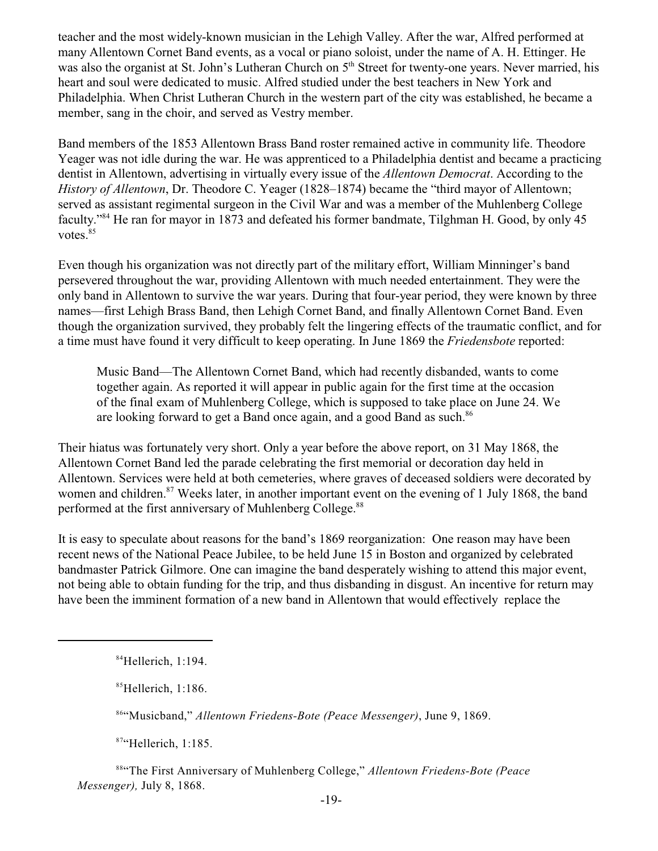teacher and the most widely-known musician in the Lehigh Valley. After the war, Alfred performed at many Allentown Cornet Band events, as a vocal or piano soloist, under the name of A. H. Ettinger. He was also the organist at St. John's Lutheran Church on 5<sup>th</sup> Street for twenty-one years. Never married, his heart and soul were dedicated to music. Alfred studied under the best teachers in New York and Philadelphia. When Christ Lutheran Church in the western part of the city was established, he became a member, sang in the choir, and served as Vestry member.

Band members of the 1853 Allentown Brass Band roster remained active in community life. Theodore Yeager was not idle during the war. He was apprenticed to a Philadelphia dentist and became a practicing dentist in Allentown, advertising in virtually every issue of the *Allentown Democrat*. According to the *History of Allentown*, Dr. Theodore C. Yeager (1828–1874) became the "third mayor of Allentown; served as assistant regimental surgeon in the Civil War and was a member of the Muhlenberg College faculty."<sup>84</sup> He ran for mayor in 1873 and defeated his former bandmate, Tilghman H. Good, by only 45 votes. $85$ 

Even though his organization was not directly part of the military effort, William Minninger's band persevered throughout the war, providing Allentown with much needed entertainment. They were the only band in Allentown to survive the war years. During that four-year period, they were known by three names—first Lehigh Brass Band, then Lehigh Cornet Band, and finally Allentown Cornet Band. Even though the organization survived, they probably felt the lingering effects of the traumatic conflict, and for a time must have found it very difficult to keep operating. In June 1869 the *Friedensbote* reported:

Music Band—The Allentown Cornet Band, which had recently disbanded, wants to come together again. As reported it will appear in public again for the first time at the occasion of the final exam of Muhlenberg College, which is supposed to take place on June 24. We are looking forward to get a Band once again, and a good Band as such.<sup>86</sup>

Their hiatus was fortunately very short. Only a year before the above report, on 31 May 1868, the Allentown Cornet Band led the parade celebrating the first memorial or decoration day held in Allentown. Services were held at both cemeteries, where graves of deceased soldiers were decorated by women and children.<sup>87</sup> Weeks later, in another important event on the evening of 1 July 1868, the band performed at the first anniversary of Muhlenberg College.<sup>88</sup>

It is easy to speculate about reasons for the band's 1869 reorganization: One reason may have been recent news of the National Peace Jubilee, to be held June 15 in Boston and organized by celebrated bandmaster Patrick Gilmore. One can imagine the band desperately wishing to attend this major event, not being able to obtain funding for the trip, and thus disbanding in disgust. An incentive for return may have been the imminent formation of a new band in Allentown that would effectively replace the

<sup>86</sup>"Musicband," *Allentown Friedens-Bote (Peace Messenger)*, June 9, 1869.

 $87$ "Hellerich, 1:185.

<sup>88</sup>"The First Anniversary of Muhlenberg College," Allentown Friedens-Bote (Peace *Messenger),* July 8, 1868.

 $84$ Hellerich, 1:194.

<sup>&</sup>lt;sup>85</sup>Hellerich, 1:186.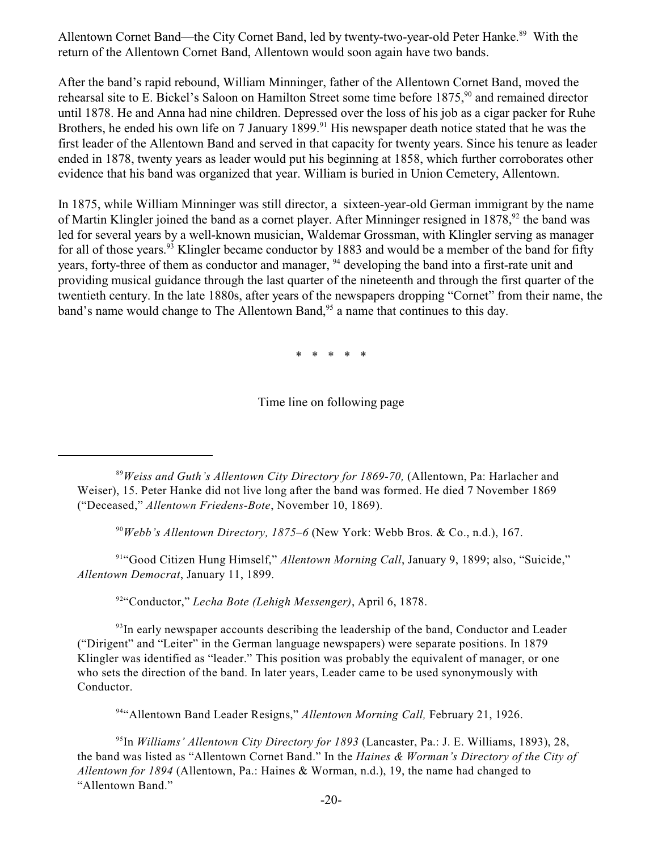Allentown Cornet Band—the City Cornet Band, led by twenty-two-year-old Peter Hanke.<sup>89</sup> With the return of the Allentown Cornet Band, Allentown would soon again have two bands.

After the band's rapid rebound, William Minninger, father of the Allentown Cornet Band, moved the rehearsal site to E. Bickel's Saloon on Hamilton Street some time before 1875,<sup>90</sup> and remained director until 1878. He and Anna had nine children. Depressed over the loss of his job as a cigar packer for Ruhe Brothers, he ended his own life on 7 January 1899.<sup>91</sup> His newspaper death notice stated that he was the first leader of the Allentown Band and served in that capacity for twenty years. Since his tenure as leader ended in 1878, twenty years as leader would put his beginning at 1858, which further corroborates other evidence that his band was organized that year. William is buried in Union Cemetery, Allentown.

In 1875, while William Minninger was still director, a sixteen-year-old German immigrant by the name of Martin Klingler joined the band as a cornet player. After Minninger resigned in 1878,<sup>92</sup> the band was led for several years by a well-known musician, Waldemar Grossman, with Klingler serving as manager for all of those years.<sup>93</sup> Klingler became conductor by 1883 and would be a member of the band for fifty years, forty-three of them as conductor and manager, <sup>94</sup> developing the band into a first-rate unit and providing musical guidance through the last quarter of the nineteenth and through the first quarter of the twentieth century. In the late 1880s, after years of the newspapers dropping "Cornet" from their name, the band's name would change to The Allentown Band,<sup>95</sup> a name that continues to this day.

\* \* \* \* \*

Time line on following page

<sup>89</sup> Weiss and Guth's Allentown City Directory for 1869-70, (Allentown, Pa: Harlacher and Weiser), 15. Peter Hanke did not live long after the band was formed. He died 7 November 1869 ("Deceased," *Allentown Friedens-Bote*, November 10, 1869).

<sup>90</sup>Webb's Allentown Directory, 1875–6 (New York: Webb Bros. & Co., n.d.), 167.

<sup>91</sup>"Good Citizen Hung Himself," *Allentown Morning Call*, January 9, 1899; also, "Suicide," *Allentown Democrat*, January 11, 1899.

<sup>92</sup>"Conductor," *Lecha Bote (Lehigh Messenger)*, April 6, 1878.

 $\frac{93}{93}$  In early newspaper accounts describing the leadership of the band. Conductor and Leader ("Dirigent" and "Leiter" in the German language newspapers) were separate positions. In 1879 Klingler was identified as "leader." This position was probably the equivalent of manager, or one who sets the direction of the band. In later years, Leader came to be used synonymously with Conductor.

<sup>94</sup>"Allentown Band Leader Resigns," Allentown Morning Call, February 21, 1926.

<sup>95</sup>In *Williams' Allentown City Directory for 1893* (Lancaster, Pa.: J. E. Williams, 1893), 28, the band was listed as "Allentown Cornet Band." In the *Haines & Worman's Directory of the City of Allentown for 1894* (Allentown, Pa.: Haines & Worman, n.d.), 19, the name had changed to "Allentown Band."